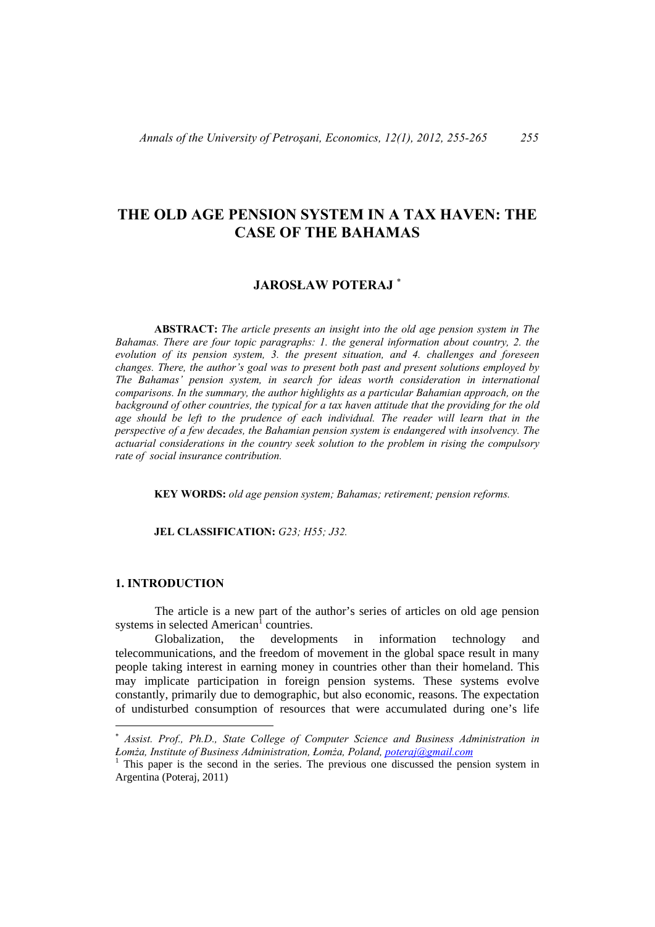# **THE OLD AGE PENSION SYSTEM IN A TAX HAVEN: THE CASE OF THE BAHAMAS**

# **JAROSŁAW POTERAJ**

**ABSTRACT:** *The article presents an insight into the old age pension system in The Bahamas. There are four topic paragraphs: 1. the general information about country, 2. the evolution of its pension system, 3. the present situation, and 4. challenges and foreseen changes. There, the author's goal was to present both past and present solutions employed by The Bahamas' pension system, in search for ideas worth consideration in international comparisons. In the summary, the author highlights as a particular Bahamian approach, on the background of other countries, the typical for a tax haven attitude that the providing for the old age should be left to the prudence of each individual. The reader will learn that in the perspective of a few decades, the Bahamian pension system is endangered with insolvency. The actuarial considerations in the country seek solution to the problem in rising the compulsory rate of social insurance contribution.* 

**KEY WORDS:** *old age pension system; Bahamas; retirement; pension reforms.*

#### **JEL CLASSIFICATION:** *G23; H55; J32.*

### **1. INTRODUCTION**

The article is a new part of the author's series of articles on old age pension systems in selected American<sup>1</sup> countries.

Globalization, the developments in information technology and telecommunications, and the freedom of movement in the global space result in many people taking interest in earning money in countries other than their homeland. This may implicate participation in foreign pension systems. These systems evolve constantly, primarily due to demographic, but also economic, reasons. The expectation of undisturbed consumption of resources that were accumulated during one's life

*Assist. Prof., Ph.D., State College of Computer Science and Business Administration in <sup>Ł</sup>omża, Institute of Business Administration, Łomża, Poland, poteraj@gmail.com* <sup>1</sup>

 $1$  This paper is the second in the series. The previous one discussed the pension system in Argentina (Poteraj, 2011)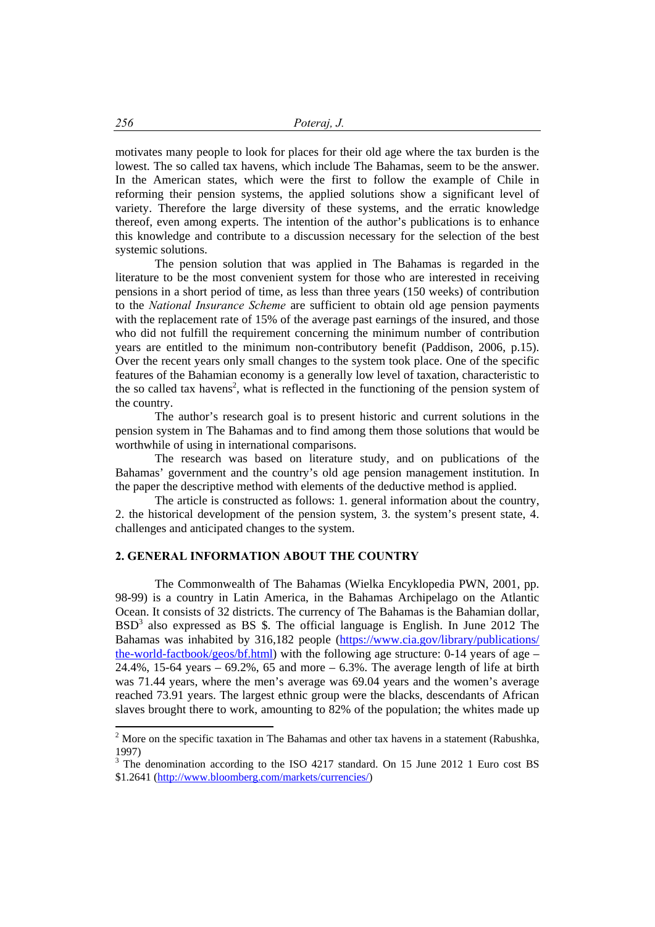motivates many people to look for places for their old age where the tax burden is the lowest. The so called tax havens, which include The Bahamas, seem to be the answer. In the American states, which were the first to follow the example of Chile in reforming their pension systems, the applied solutions show a significant level of variety. Therefore the large diversity of these systems, and the erratic knowledge thereof, even among experts. The intention of the author's publications is to enhance this knowledge and contribute to a discussion necessary for the selection of the best systemic solutions.

The pension solution that was applied in The Bahamas is regarded in the literature to be the most convenient system for those who are interested in receiving pensions in a short period of time, as less than three years (150 weeks) of contribution to the *National Insurance Scheme* are sufficient to obtain old age pension payments with the replacement rate of 15% of the average past earnings of the insured, and those who did not fulfill the requirement concerning the minimum number of contribution years are entitled to the minimum non-contributory benefit (Paddison, 2006, p.15). Over the recent years only small changes to the system took place. One of the specific features of the Bahamian economy is a generally low level of taxation, characteristic to the so called tax havens<sup>2</sup>, what is reflected in the functioning of the pension system of the country.

The author's research goal is to present historic and current solutions in the pension system in The Bahamas and to find among them those solutions that would be worthwhile of using in international comparisons.

The research was based on literature study, and on publications of the Bahamas' government and the country's old age pension management institution. In the paper the descriptive method with elements of the deductive method is applied.

The article is constructed as follows: 1. general information about the country, 2. the historical development of the pension system, 3. the system's present state, 4. challenges and anticipated changes to the system.

## **2. GENERAL INFORMATION ABOUT THE COUNTRY**

The Commonwealth of The Bahamas (Wielka Encyklopedia PWN, 2001, pp. 98-99) is a country in Latin America, in the Bahamas Archipelago on the Atlantic Ocean. It consists of 32 districts. The currency of The Bahamas is the Bahamian dollar,  $BSD^3$  also expressed as BS \$. The official language is English. In June 2012 The Bahamas was inhabited by 316,182 people (https://www.cia.gov/library/publications/ the-world-factbook/geos/bf.html) with the following age structure: 0-14 years of age –  $24.4\%$ , 15-64 years  $-69.2\%$ , 65 and more  $-6.3\%$ . The average length of life at birth was 71.44 years, where the men's average was 69.04 years and the women's average reached 73.91 years. The largest ethnic group were the blacks, descendants of African slaves brought there to work, amounting to 82% of the population; the whites made up

 $2^{2}$  More on the specific taxation in The Bahamas and other tax havens in a statement (Rabushka, 1997)

<sup>&</sup>lt;sup>3</sup> The denomination according to the ISO 4217 standard. On 15 June 2012 1 Euro cost BS \$1.2641 (http://www.bloomberg.com/markets/currencies/)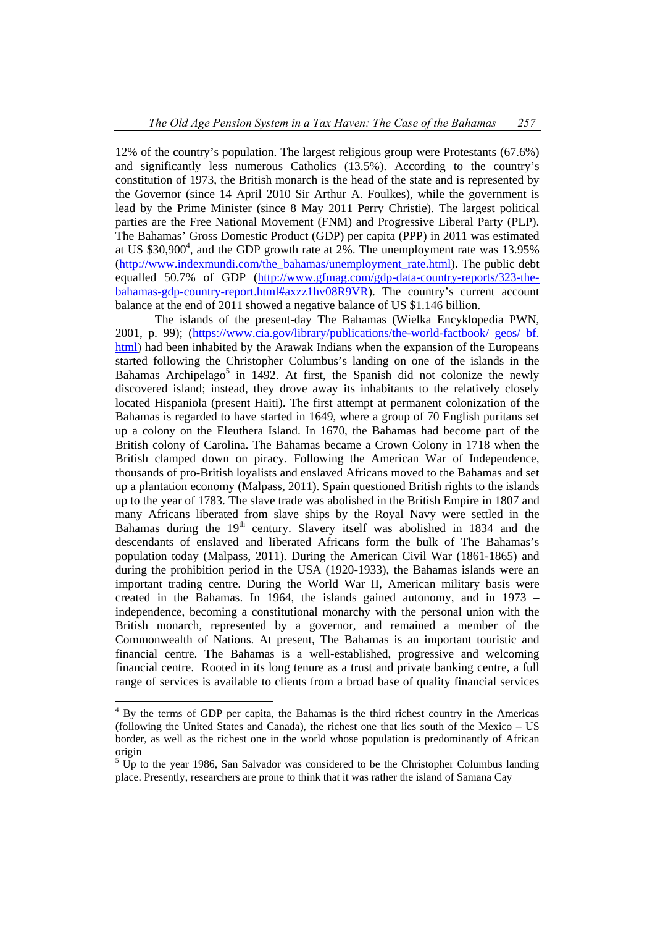12% of the country's population. The largest religious group were Protestants (67.6%) and significantly less numerous Catholics (13.5%). According to the country's constitution of 1973, the British monarch is the head of the state and is represented by the Governor (since 14 April 2010 Sir Arthur A. Foulkes), while the government is lead by the Prime Minister (since 8 May 2011 Perry Christie). The largest political parties are the Free National Movement (FNM) and Progressive Liberal Party (PLP). The Bahamas' Gross Domestic Product (GDP) per capita (PPP) in 2011 was estimated at US  $$30,900^4$ , and the GDP growth rate at  $2\%$ . The unemployment rate was 13.95% (http://www.indexmundi.com/the\_bahamas/unemployment\_rate.html). The public debt equalled 50.7% of GDP (http://www.gfmag.com/gdp-data-country-reports/323-thebahamas-gdp-country-report.html#axzz1hv08R9VR). The country's current account balance at the end of 2011 showed a negative balance of US \$1.146 billion.

The islands of the present-day The Bahamas (Wielka Encyklopedia PWN, 2001, p. 99); (https://www.cia.gov/library/publications/the-world-factbook/ geos/ bf. html) had been inhabited by the Arawak Indians when the expansion of the Europeans started following the Christopher Columbus's landing on one of the islands in the Bahamas Archipelago<sup>5</sup> in 1492. At first, the Spanish did not colonize the newly discovered island; instead, they drove away its inhabitants to the relatively closely located Hispaniola (present Haiti). The first attempt at permanent colonization of the Bahamas is regarded to have started in 1649, where a group of 70 English puritans set up a colony on the Eleuthera Island. In 1670, the Bahamas had become part of the British colony of Carolina. The Bahamas became a Crown Colony in 1718 when the British clamped down on piracy. Following the American War of Independence, thousands of pro-British loyalists and enslaved Africans moved to the Bahamas and set up a plantation economy (Malpass, 2011). Spain questioned British rights to the islands up to the year of 1783. The slave trade was abolished in the British Empire in 1807 and many Africans liberated from slave ships by the Royal Navy were settled in the Bahamas during the  $19<sup>th</sup>$  century. Slavery itself was abolished in 1834 and the descendants of enslaved and liberated Africans form the bulk of The Bahamas's population today (Malpass, 2011). During the American Civil War (1861-1865) and during the prohibition period in the USA (1920-1933), the Bahamas islands were an important trading centre. During the World War II, American military basis were created in the Bahamas. In 1964, the islands gained autonomy, and in 1973 – independence, becoming a constitutional monarchy with the personal union with the British monarch, represented by a governor, and remained a member of the Commonwealth of Nations. At present, The Bahamas is an important touristic and financial centre. The Bahamas is a well-established, progressive and welcoming financial centre. Rooted in its long tenure as a trust and private banking centre, a full range of services is available to clients from a broad base of quality financial services

<sup>&</sup>lt;sup>4</sup> By the terms of GDP per capita, the Bahamas is the third richest country in the Americas (following the United States and Canada), the richest one that lies south of the Mexico – US border, as well as the richest one in the world whose population is predominantly of African origin

 $5 \text{ Up}$  to the year 1986, San Salvador was considered to be the Christopher Columbus landing place. Presently, researchers are prone to think that it was rather the island of Samana Cay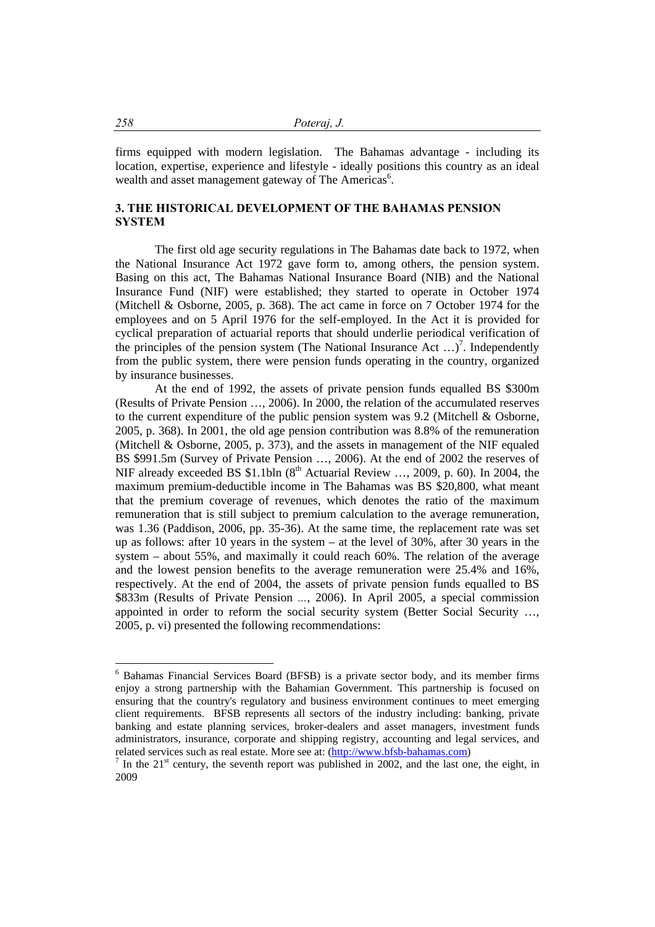firms equipped with modern legislation. The Bahamas advantage - including its location, expertise, experience and lifestyle - ideally positions this country as an ideal wealth and asset management gateway of The Americas<sup>6</sup>.

## **3. THE HISTORICAL DEVELOPMENT OF THE BAHAMAS PENSION SYSTEM**

The first old age security regulations in The Bahamas date back to 1972, when the National Insurance Act 1972 gave form to, among others, the pension system. Basing on this act, The Bahamas National Insurance Board (NIB) and the National Insurance Fund (NIF) were established; they started to operate in October 1974 (Mitchell & Osborne, 2005, p. 368). The act came in force on 7 October 1974 for the employees and on 5 April 1976 for the self-employed. In the Act it is provided for cyclical preparation of actuarial reports that should underlie periodical verification of the principles of the pension system (The National Insurance Act  $\ldots$ )<sup>7</sup>. Independently from the public system, there were pension funds operating in the country, organized by insurance businesses.

At the end of 1992, the assets of private pension funds equalled BS \$300m (Results of Private Pension …, 2006). In 2000, the relation of the accumulated reserves to the current expenditure of the public pension system was 9.2 (Mitchell & Osborne, 2005, p. 368). In 2001, the old age pension contribution was 8.8% of the remuneration (Mitchell & Osborne, 2005, p. 373), and the assets in management of the NIF equaled BS \$991.5m (Survey of Private Pension …, 2006). At the end of 2002 the reserves of NIF already exceeded BS  $$1.1bh$  ( $8<sup>th</sup>$  Actuarial Review ..., 2009, p. 60). In 2004, the maximum premium-deductible income in The Bahamas was BS \$20,800, what meant that the premium coverage of revenues, which denotes the ratio of the maximum remuneration that is still subject to premium calculation to the average remuneration, was 1.36 (Paddison, 2006, pp. 35-36). At the same time, the replacement rate was set up as follows: after 10 years in the system – at the level of 30%, after 30 years in the system – about 55%, and maximally it could reach 60%. The relation of the average and the lowest pension benefits to the average remuneration were 25.4% and 16%, respectively. At the end of 2004, the assets of private pension funds equalled to BS \$833m (Results of Private Pension *...*, 2006). In April 2005, a special commission appointed in order to reform the social security system (Better Social Security ..., 2005, p. vi) presented the following recommendations:

<sup>6</sup> Bahamas Financial Services Board (BFSB) is a private sector body, and its member firms enjoy a strong partnership with the Bahamian Government. This partnership is focused on ensuring that the country's regulatory and business environment continues to meet emerging client requirements. BFSB represents all sectors of the industry including: banking, private banking and estate planning services, broker-dealers and asset managers, investment funds administrators, insurance, corporate and shipping registry, accounting and legal services, and related services such as real estate. More see at: (http://www.bfsb-bahamas.com) 7

In the 21<sup>st</sup> century, the seventh report was published in 2002, and the last one, the eight, in 2009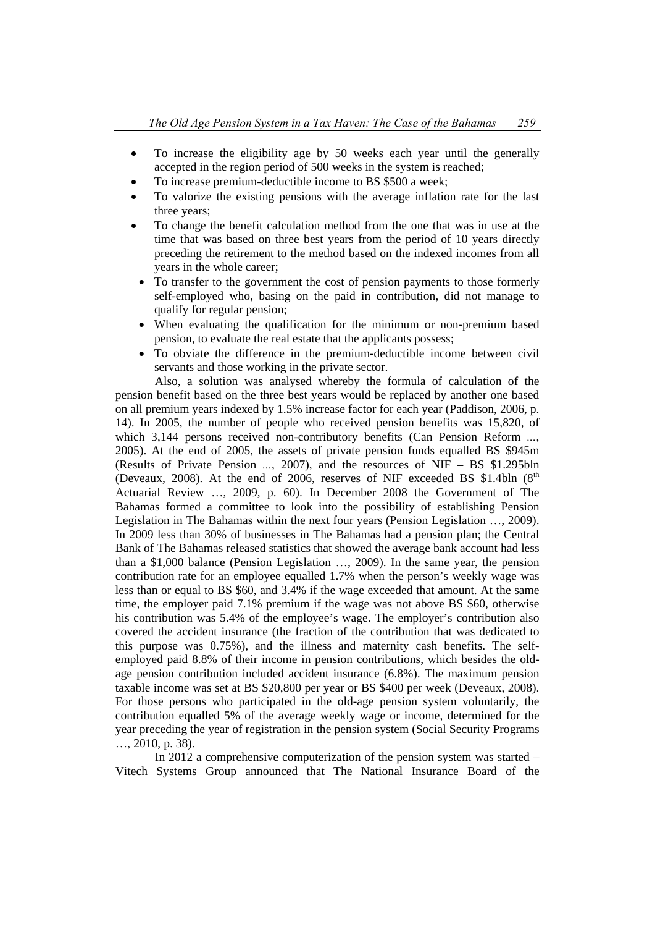- To increase the eligibility age by 50 weeks each year until the generally accepted in the region period of 500 weeks in the system is reached;
- To increase premium-deductible income to BS \$500 a week;
- To valorize the existing pensions with the average inflation rate for the last three years;
- To change the benefit calculation method from the one that was in use at the time that was based on three best years from the period of 10 years directly preceding the retirement to the method based on the indexed incomes from all years in the whole career;
- To transfer to the government the cost of pension payments to those formerly self-employed who, basing on the paid in contribution, did not manage to qualify for regular pension;
- When evaluating the qualification for the minimum or non-premium based pension, to evaluate the real estate that the applicants possess;
- To obviate the difference in the premium-deductible income between civil servants and those working in the private sector.

Also, a solution was analysed whereby the formula of calculation of the pension benefit based on the three best years would be replaced by another one based on all premium years indexed by 1.5% increase factor for each year (Paddison, 2006, p. 14). In 2005, the number of people who received pension benefits was 15,820, of which 3,144 persons received non-contributory benefits (Can Pension Reform *...*, 2005). At the end of 2005, the assets of private pension funds equalled BS \$945m (Results of Private Pension *...*, 2007), and the resources of NIF – BS \$1.295bln (Deveaux, 2008). At the end of 2006, reserves of NIF exceeded BS  $$1.4bh$  (8<sup>th</sup>) Actuarial Review …, 2009, p. 60). In December 2008 the Government of The Bahamas formed a committee to look into the possibility of establishing Pension Legislation in The Bahamas within the next four years (Pension Legislation …, 2009). In 2009 less than 30% of businesses in The Bahamas had a pension plan; the Central Bank of The Bahamas released statistics that showed the average bank account had less than a \$1,000 balance (Pension Legislation …, 2009). In the same year, the pension contribution rate for an employee equalled 1.7% when the person's weekly wage was less than or equal to BS \$60, and 3.4% if the wage exceeded that amount. At the same time, the employer paid 7.1% premium if the wage was not above BS \$60, otherwise his contribution was 5.4% of the employee's wage. The employer's contribution also covered the accident insurance (the fraction of the contribution that was dedicated to this purpose was 0.75%), and the illness and maternity cash benefits. The selfemployed paid 8.8% of their income in pension contributions, which besides the oldage pension contribution included accident insurance (6.8%). The maximum pension taxable income was set at BS \$20,800 per year or BS \$400 per week (Deveaux, 2008). For those persons who participated in the old-age pension system voluntarily, the contribution equalled 5% of the average weekly wage or income, determined for the year preceding the year of registration in the pension system (Social Security Programs ..., 2010, p. 38).

In 2012 a comprehensive computerization of the pension system was started – Vitech Systems Group announced that The National Insurance Board of the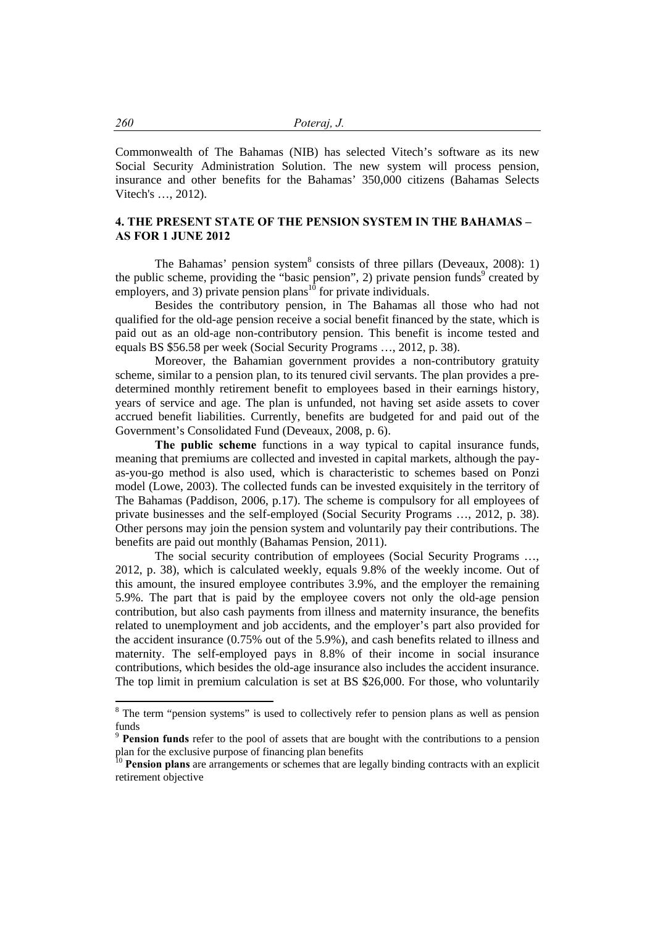Commonwealth of The Bahamas (NIB) has selected Vitech's software as its new Social Security Administration Solution. The new system will process pension, insurance and other benefits for the Bahamas' 350,000 citizens (Bahamas Selects Vitech's …, 2012).

## **4. THE PRESENT STATE OF THE PENSION SYSTEM IN THE BAHAMAS – AS FOR 1 JUNE 2012**

The Bahamas' pension system<sup>8</sup> consists of three pillars (Deveaux, 2008): 1) the public scheme, providing the "basic pension", 2) private pension funds $\degree$  created by employers, and 3) private pension plans<sup>10</sup> for private individuals.

Besides the contributory pension, in The Bahamas all those who had not qualified for the old-age pension receive a social benefit financed by the state, which is paid out as an old-age non-contributory pension. This benefit is income tested and equals BS \$56.58 per week (Social Security Programs …, 2012, p. 38).

Moreover, the Bahamian government provides a non-contributory gratuity scheme, similar to a pension plan, to its tenured civil servants. The plan provides a predetermined monthly retirement benefit to employees based in their earnings history, years of service and age. The plan is unfunded, not having set aside assets to cover accrued benefit liabilities. Currently, benefits are budgeted for and paid out of the Government's Consolidated Fund (Deveaux, 2008, p. 6).

**The public scheme** functions in a way typical to capital insurance funds, meaning that premiums are collected and invested in capital markets, although the payas-you-go method is also used, which is characteristic to schemes based on Ponzi model (Lowe, 2003). The collected funds can be invested exquisitely in the territory of The Bahamas (Paddison, 2006, p.17). The scheme is compulsory for all employees of private businesses and the self-employed (Social Security Programs …, 2012, p. 38). Other persons may join the pension system and voluntarily pay their contributions. The benefits are paid out monthly (Bahamas Pension, 2011).

The social security contribution of employees (Social Security Programs …, 2012, p. 38), which is calculated weekly, equals 9.8% of the weekly income. Out of this amount, the insured employee contributes 3.9%, and the employer the remaining 5.9%. The part that is paid by the employee covers not only the old-age pension contribution, but also cash payments from illness and maternity insurance, the benefits related to unemployment and job accidents, and the employer's part also provided for the accident insurance (0.75% out of the 5.9%), and cash benefits related to illness and maternity. The self-employed pays in 8.8% of their income in social insurance contributions, which besides the old-age insurance also includes the accident insurance. The top limit in premium calculation is set at BS \$26,000. For those, who voluntarily

<sup>&</sup>lt;sup>8</sup> The term "pension systems" is used to collectively refer to pension plans as well as pension funds

<sup>9</sup> **Pension funds** refer to the pool of assets that are bought with the contributions to a pension plan for the exclusive purpose of financing plan benefits

<sup>&</sup>lt;sup>10</sup> Pension plans are arrangements or schemes that are legally binding contracts with an explicit retirement objective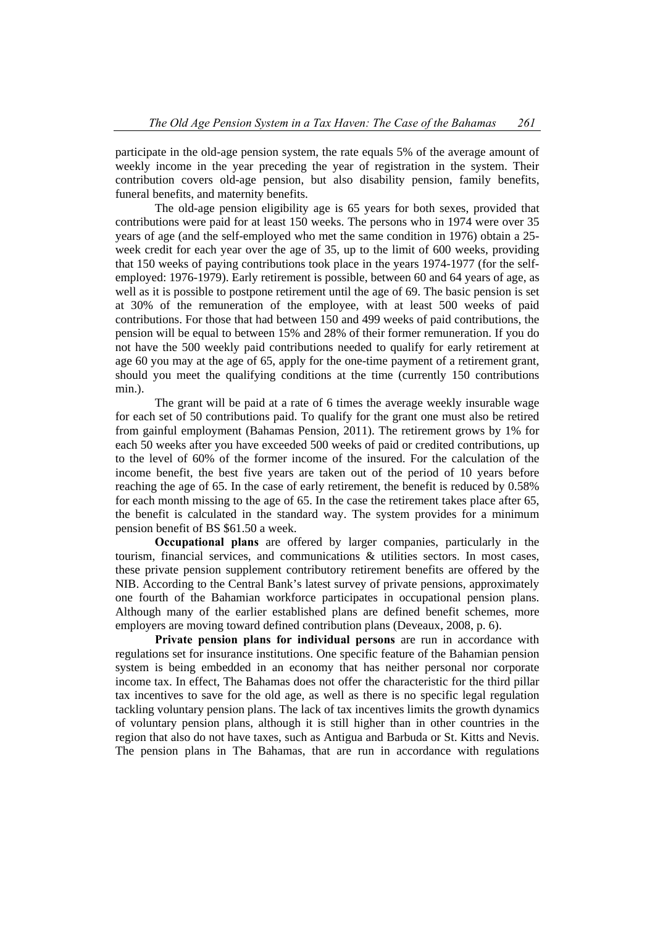participate in the old-age pension system, the rate equals 5% of the average amount of weekly income in the year preceding the year of registration in the system. Their contribution covers old-age pension, but also disability pension, family benefits, funeral benefits, and maternity benefits.

The old-age pension eligibility age is 65 years for both sexes, provided that contributions were paid for at least 150 weeks. The persons who in 1974 were over 35 years of age (and the self-employed who met the same condition in 1976) obtain a 25 week credit for each year over the age of 35, up to the limit of 600 weeks, providing that 150 weeks of paying contributions took place in the years 1974-1977 (for the selfemployed: 1976-1979). Early retirement is possible, between 60 and 64 years of age, as well as it is possible to postpone retirement until the age of 69. The basic pension is set at 30% of the remuneration of the employee, with at least 500 weeks of paid contributions. For those that had between 150 and 499 weeks of paid contributions, the pension will be equal to between 15% and 28% of their former remuneration. If you do not have the 500 weekly paid contributions needed to qualify for early retirement at age 60 you may at the age of 65, apply for the one-time payment of a retirement grant, should you meet the qualifying conditions at the time (currently 150 contributions min.).

The grant will be paid at a rate of 6 times the average weekly insurable wage for each set of 50 contributions paid. To qualify for the grant one must also be retired from gainful employment (Bahamas Pension, 2011). The retirement grows by 1% for each 50 weeks after you have exceeded 500 weeks of paid or credited contributions, up to the level of 60% of the former income of the insured. For the calculation of the income benefit, the best five years are taken out of the period of 10 years before reaching the age of 65. In the case of early retirement, the benefit is reduced by 0.58% for each month missing to the age of 65. In the case the retirement takes place after 65, the benefit is calculated in the standard way. The system provides for a minimum pension benefit of BS \$61.50 a week.

**Occupational plans** are offered by larger companies, particularly in the tourism, financial services, and communications & utilities sectors. In most cases, these private pension supplement contributory retirement benefits are offered by the NIB. According to the Central Bank's latest survey of private pensions, approximately one fourth of the Bahamian workforce participates in occupational pension plans. Although many of the earlier established plans are defined benefit schemes, more employers are moving toward defined contribution plans (Deveaux, 2008, p. 6).

**Private pension plans for individual persons** are run in accordance with regulations set for insurance institutions. One specific feature of the Bahamian pension system is being embedded in an economy that has neither personal nor corporate income tax. In effect, The Bahamas does not offer the characteristic for the third pillar tax incentives to save for the old age, as well as there is no specific legal regulation tackling voluntary pension plans. The lack of tax incentives limits the growth dynamics of voluntary pension plans, although it is still higher than in other countries in the region that also do not have taxes, such as Antigua and Barbuda or St. Kitts and Nevis. The pension plans in The Bahamas, that are run in accordance with regulations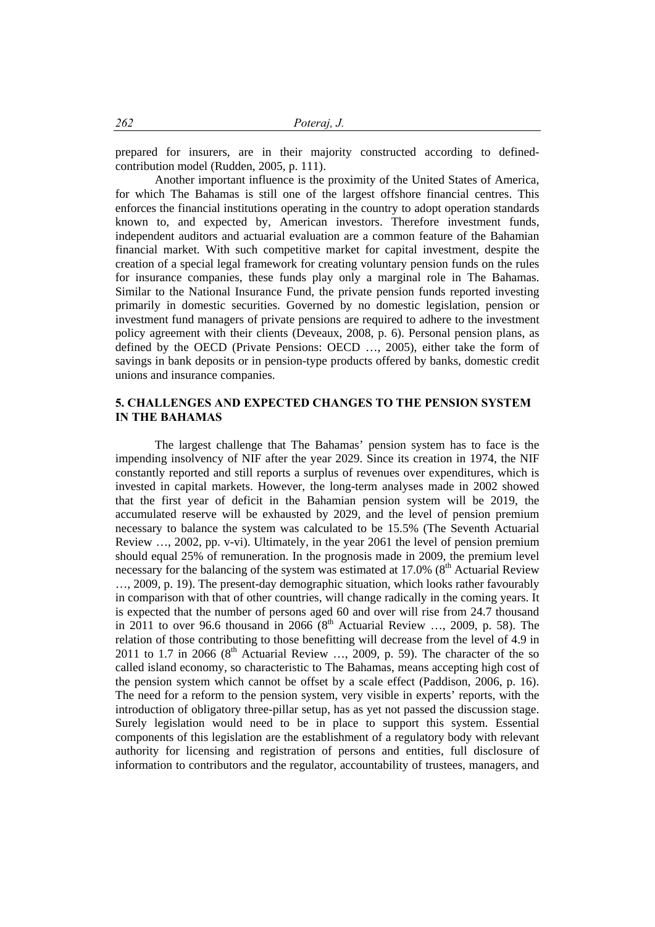prepared for insurers, are in their majority constructed according to definedcontribution model (Rudden, 2005, p. 111).

Another important influence is the proximity of the United States of America, for which The Bahamas is still one of the largest offshore financial centres. This enforces the financial institutions operating in the country to adopt operation standards known to, and expected by, American investors. Therefore investment funds, independent auditors and actuarial evaluation are a common feature of the Bahamian financial market. With such competitive market for capital investment, despite the creation of a special legal framework for creating voluntary pension funds on the rules for insurance companies, these funds play only a marginal role in The Bahamas. Similar to the National Insurance Fund, the private pension funds reported investing primarily in domestic securities. Governed by no domestic legislation, pension or investment fund managers of private pensions are required to adhere to the investment policy agreement with their clients (Deveaux, 2008, p. 6). Personal pension plans, as defined by the OECD (Private Pensions: OECD …, 2005), either take the form of savings in bank deposits or in pension-type products offered by banks, domestic credit unions and insurance companies.

## **5. CHALLENGES AND EXPECTED CHANGES TO THE PENSION SYSTEM IN THE BAHAMAS**

The largest challenge that The Bahamas' pension system has to face is the impending insolvency of NIF after the year 2029. Since its creation in 1974, the NIF constantly reported and still reports a surplus of revenues over expenditures, which is invested in capital markets. However, the long-term analyses made in 2002 showed that the first year of deficit in the Bahamian pension system will be 2019, the accumulated reserve will be exhausted by 2029, and the level of pension premium necessary to balance the system was calculated to be 15.5% (The Seventh Actuarial Review …, 2002, pp. v-vi). Ultimately, in the year 2061 the level of pension premium should equal 25% of remuneration. In the prognosis made in 2009, the premium level necessary for the balancing of the system was estimated at  $17.0\%$  ( $8<sup>th</sup>$  Actuarial Review …, 2009, p. 19). The present-day demographic situation, which looks rather favourably in comparison with that of other countries, will change radically in the coming years. It is expected that the number of persons aged 60 and over will rise from 24.7 thousand in 2011 to over 96.6 thousand in 2066  $(8<sup>th</sup>$  Actuarial Review ..., 2009, p. 58). The relation of those contributing to those benefitting will decrease from the level of 4.9 in 2011 to 1.7 in 2066 ( $8<sup>th</sup>$  Actuarial Review ..., 2009, p. 59). The character of the so called island economy, so characteristic to The Bahamas, means accepting high cost of the pension system which cannot be offset by a scale effect (Paddison, 2006, p. 16). The need for a reform to the pension system, very visible in experts' reports, with the introduction of obligatory three-pillar setup, has as yet not passed the discussion stage. Surely legislation would need to be in place to support this system. Essential components of this legislation are the establishment of a regulatory body with relevant authority for licensing and registration of persons and entities, full disclosure of information to contributors and the regulator, accountability of trustees, managers, and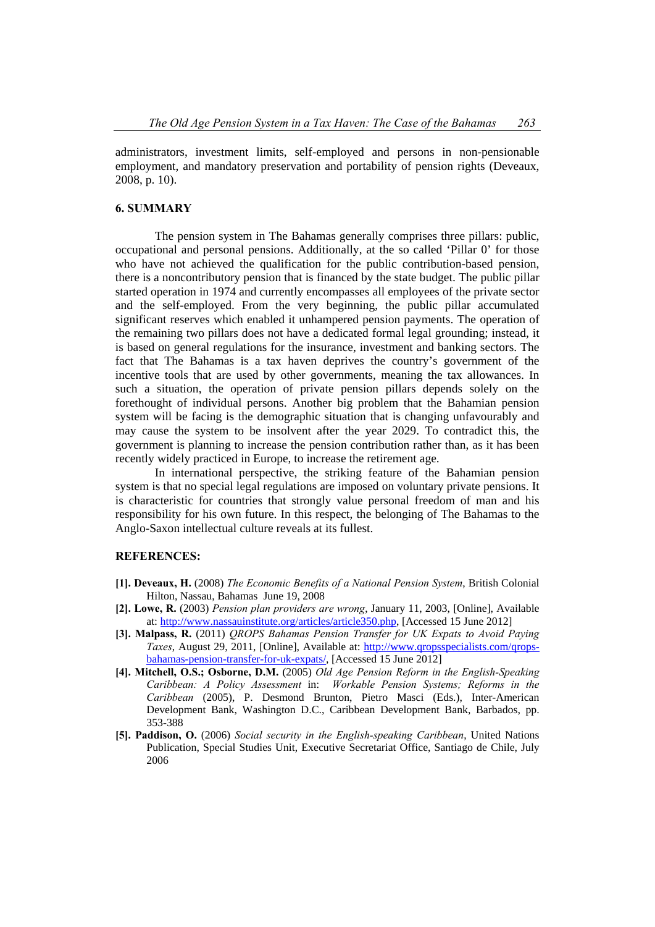administrators, investment limits, self-employed and persons in non-pensionable employment, and mandatory preservation and portability of pension rights (Deveaux, 2008, p. 10).

#### **6. SUMMARY**

The pension system in The Bahamas generally comprises three pillars: public, occupational and personal pensions. Additionally, at the so called 'Pillar 0' for those who have not achieved the qualification for the public contribution-based pension, there is a noncontributory pension that is financed by the state budget. The public pillar started operation in 1974 and currently encompasses all employees of the private sector and the self-employed. From the very beginning, the public pillar accumulated significant reserves which enabled it unhampered pension payments. The operation of the remaining two pillars does not have a dedicated formal legal grounding; instead, it is based on general regulations for the insurance, investment and banking sectors. The fact that The Bahamas is a tax haven deprives the country's government of the incentive tools that are used by other governments, meaning the tax allowances. In such a situation, the operation of private pension pillars depends solely on the forethought of individual persons. Another big problem that the Bahamian pension system will be facing is the demographic situation that is changing unfavourably and may cause the system to be insolvent after the year 2029. To contradict this, the government is planning to increase the pension contribution rather than, as it has been recently widely practiced in Europe, to increase the retirement age.

In international perspective, the striking feature of the Bahamian pension system is that no special legal regulations are imposed on voluntary private pensions. It is characteristic for countries that strongly value personal freedom of man and his responsibility for his own future. In this respect, the belonging of The Bahamas to the Anglo-Saxon intellectual culture reveals at its fullest.

## **REFERENCES:**

- **[1]. Deveaux, H.** (2008) *The Economic Benefits of a National Pension System*, British Colonial Hilton, Nassau, Bahamas June 19, 2008
- **[2]. Lowe, R.** (2003) *Pension plan providers are wrong*, January 11, 2003, [Online], Available at: http://www.nassauinstitute.org/articles/article350.php, [Accessed 15 June 2012]
- **[3]. Malpass, R.** (2011) *QROPS Bahamas Pension Transfer for UK Expats to Avoid Paying Taxes*, August 29, 2011, [Online], Available at: http://www.qropsspecialists.com/qropsbahamas-pension-transfer-for-uk-expats/, [Accessed 15 June 2012]
- **[4]. Mitchell, O.S.; Osborne, D.M.** (2005) *Old Age Pension Reform in the English-Speaking Caribbean: A Policy Assessment* in: *Workable Pension Systems; Reforms in the Caribbean* (2005), P. Desmond Brunton, Pietro Masci (Eds.), Inter-American Development Bank, Washington D.C., Caribbean Development Bank, Barbados, pp. 353-388
- **[5]. Paddison, O.** (2006) *Social security in the English-speaking Caribbean*, United Nations Publication, Special Studies Unit, Executive Secretariat Office, Santiago de Chile, July 2006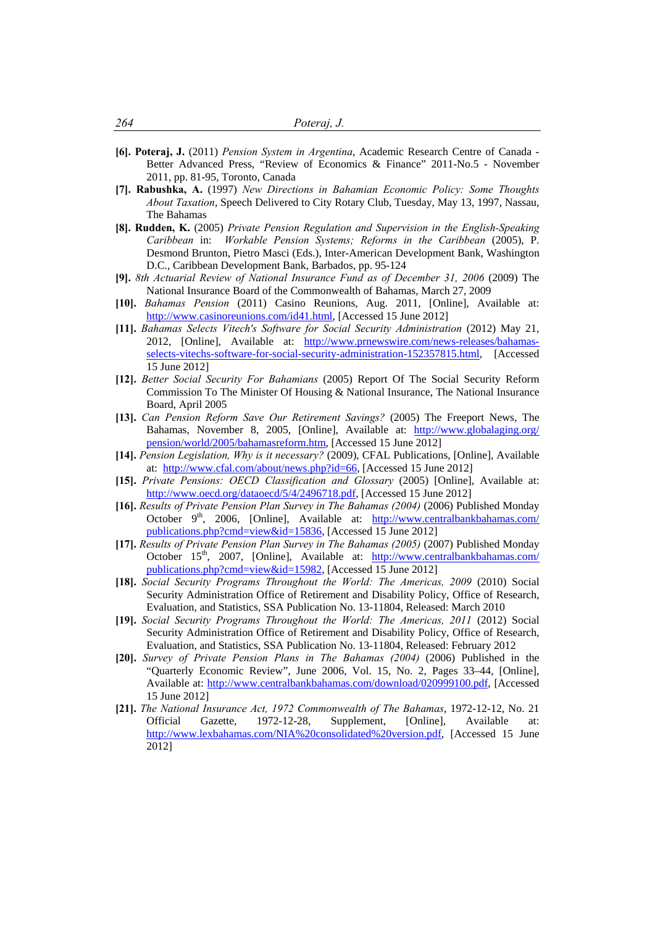| 264 | Poteraj, J. |
|-----|-------------|
|     |             |

- **[6]. Poteraj, J.** (2011) *Pension System in Argentina*, Academic Research Centre of Canada Better Advanced Press, "Review of Economics & Finance" 2011-No.5 - November 2011, pp. 81-95, Toronto, Canada
- **[7]. Rabushka, A.** (1997) *New Directions in Bahamian Economic Policy: Some Thoughts About Taxation*, Speech Delivered to City Rotary Club, Tuesday, May 13, 1997, Nassau, The Bahamas
- **[8]. Rudden, K.** (2005) *Private Pension Regulation and Supervision in the English-Speaking Caribbean* in: *Workable Pension Systems; Reforms in the Caribbean* (2005), P. Desmond Brunton, Pietro Masci (Eds.), Inter-American Development Bank, Washington D.C., Caribbean Development Bank, Barbados, pp. 95-124
- **[9].** *8th Actuarial Review of National Insurance Fund as of December 31, 2006* (2009) The National Insurance Board of the Commonwealth of Bahamas, March 27, 2009
- **[10].** *Bahamas Pension* (2011) Casino Reunions, Aug. 2011, [Online], Available at: http://www.casinoreunions.com/id41.html, [Accessed 15 June 2012]
- **[11].** *Bahamas Selects Vitech's Software for Social Security Administration* (2012) May 21, 2012, [Online], Available at: http://www.prnewswire.com/news-releases/bahamasselects-vitechs-software-for-social-security-administration-152357815.html, [Accessed 15 June 2012]
- **[12].** *Better Social Security For Bahamians* (2005) Report Of The Social Security Reform Commission To The Minister Of Housing & National Insurance, The National Insurance Board, April 2005
- **[13].** *Can Pension Reform Save Our Retirement Savings?* (2005) The Freeport News, The Bahamas, November 8, 2005, [Online], Available at: http://www.globalaging.org/ pension/world/2005/bahamasreform.htm, [Accessed 15 June 2012]
- **[14].** *Pension Legislation, Why is it necessary?* (2009), CFAL Publications, [Online], Available at: http://www.cfal.com/about/news.php?id=66, [Accessed 15 June 2012]
- **[15].** *Private Pensions: OECD Classification and Glossary* (2005) [Online], Available at: http://www.oecd.org/dataoecd/5/4/2496718.pdf, [Accessed 15 June 2012]
- **[16].** *Results of Private Pension Plan Survey in The Bahamas (2004)* (2006) Published Monday October 9<sup>th</sup>, 2006, [Online], Available at: http://www.centralbankbahamas.com/ publications.php?cmd=view&id=15836, [Accessed 15 June 2012]
- **[17].** *Results of Private Pension Plan Survey in The Bahamas (2005)* (2007) Published Monday October 15<sup>th</sup>, 2007, [Online], Available at: http://www.centralbankbahamas.com/ publications.php?cmd=view&id=15982, [Accessed 15 June 2012]
- **[18].** *Social Security Programs Throughout the World: The Americas, 2009* (2010) Social Security Administration Office of Retirement and Disability Policy, Office of Research, Evaluation, and Statistics, SSA Publication No. 13-11804, Released: March 2010
- **[19].** *Social Security Programs Throughout the World: The Americas, 2011* (2012) Social Security Administration Office of Retirement and Disability Policy, Office of Research, Evaluation, and Statistics, SSA Publication No. 13-11804, Released: February 2012
- **[20].** *Survey of Private Pension Plans in The Bahamas (2004)* (2006) Published in the "Quarterly Economic Review", June 2006, Vol. 15, No. 2, Pages 33–44, [Online], Available at: http://www.centralbankbahamas.com/download/020999100.pdf, [Accessed 15 June 2012]
- **[21].** *The National Insurance Act, 1972 Commonwealth of The Bahamas*, 1972-12-12, No. 21 Official Gazette, 1972-12-28, Supplement, [Online], Available at: http://www.lexbahamas.com/NIA%20consolidated%20version.pdf, [Accessed 15 June 2012]